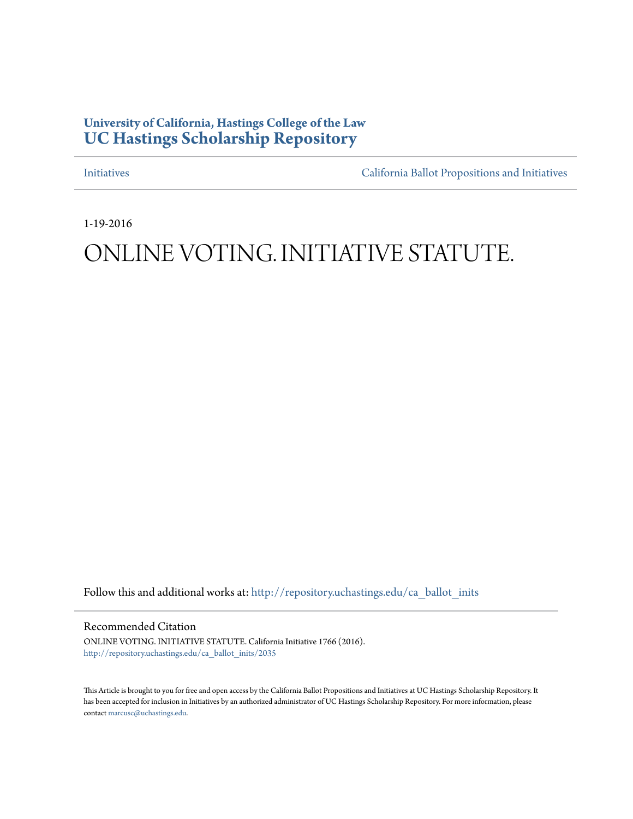# **University of California, Hastings College of the Law [UC Hastings Scholarship Repository](http://repository.uchastings.edu?utm_source=repository.uchastings.edu%2Fca_ballot_inits%2F2035&utm_medium=PDF&utm_campaign=PDFCoverPages)**

[Initiatives](http://repository.uchastings.edu/ca_ballot_inits?utm_source=repository.uchastings.edu%2Fca_ballot_inits%2F2035&utm_medium=PDF&utm_campaign=PDFCoverPages) [California Ballot Propositions and Initiatives](http://repository.uchastings.edu/ca_ballots?utm_source=repository.uchastings.edu%2Fca_ballot_inits%2F2035&utm_medium=PDF&utm_campaign=PDFCoverPages)

1-19-2016

# ONLINE VOTING. INITIATIVE STATUTE.

Follow this and additional works at: [http://repository.uchastings.edu/ca\\_ballot\\_inits](http://repository.uchastings.edu/ca_ballot_inits?utm_source=repository.uchastings.edu%2Fca_ballot_inits%2F2035&utm_medium=PDF&utm_campaign=PDFCoverPages)

Recommended Citation

ONLINE VOTING. INITIATIVE STATUTE. California Initiative 1766 (2016). [http://repository.uchastings.edu/ca\\_ballot\\_inits/2035](http://repository.uchastings.edu/ca_ballot_inits/2035?utm_source=repository.uchastings.edu%2Fca_ballot_inits%2F2035&utm_medium=PDF&utm_campaign=PDFCoverPages)

This Article is brought to you for free and open access by the California Ballot Propositions and Initiatives at UC Hastings Scholarship Repository. It has been accepted for inclusion in Initiatives by an authorized administrator of UC Hastings Scholarship Repository. For more information, please contact [marcusc@uchastings.edu](mailto:marcusc@uchastings.edu).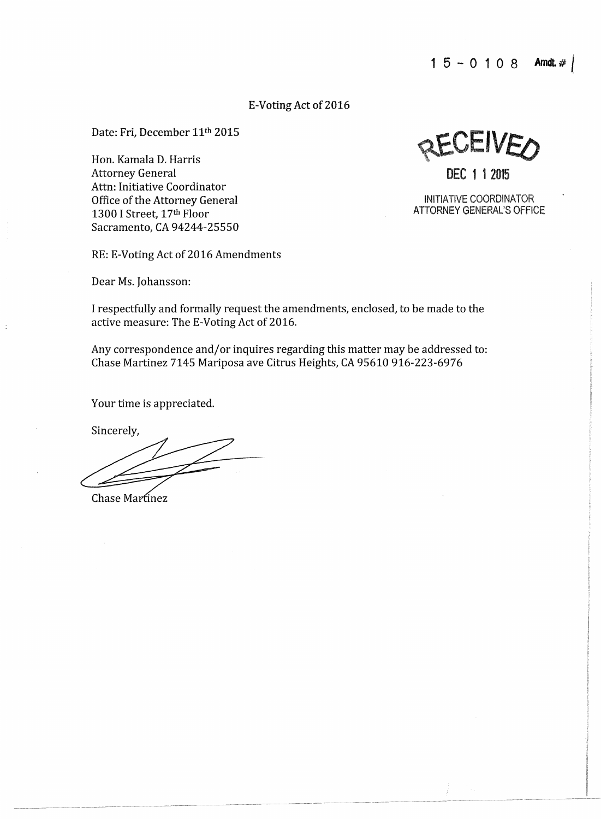## E-Voting Act of 2016

Date: Fri, December 11th 2015

Hon. Kamala D. Harris Attorney General Attn: Initiative Coordinator Office of the Attorney General 1300 I Street, 17th Floor Sacramento, CA 94244-25550

RE: E-Voting Act of 2016 Amendments

Dear Ms. Johansson:

I respectfully and formally request the amendments, enclosed, to be made to the active measure: The E-Voting Act of 2016.

Any correspondence and/or inquires regarding this matter may be addressed to: Chase Martinez 7145 Mariposa ave Citrus Heights, CA 95610 916-223-6976

-~ - ------- --~·---

Your time is appreciated.

Sincerely,

Chase Martinez

<sup>~</sup>-~--------- - ----- - - --

**JEIVE** DEC 1 1 2015

INITIATIVE COORDINATOR

ATTORNEY GENERAL'S OFFICE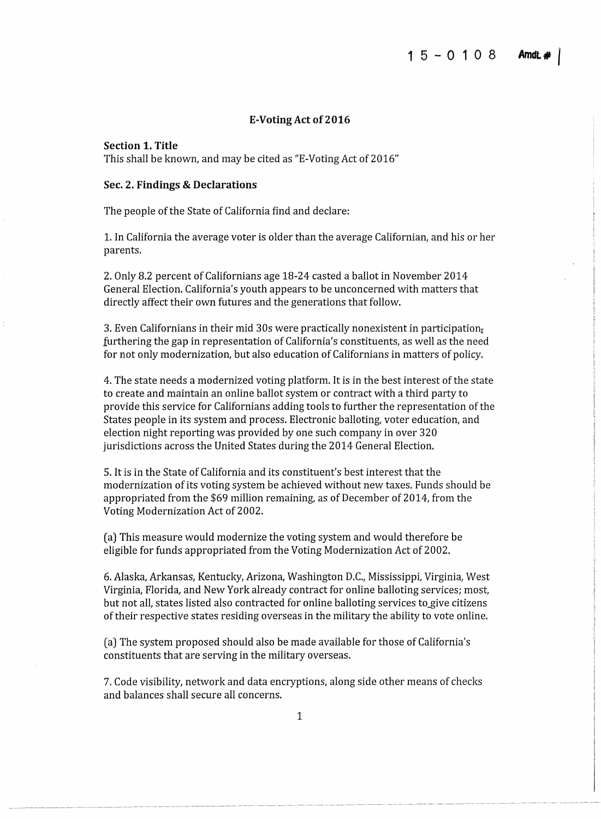#### **E-Voting Act of 2016**

**Section 1. Title** 

This shall be known, and may be cited as "E-Voting Act of 2016"

#### **Sec. 2. Findings & Declarations**

The people of the State of California find and declare:

1. In California the average voter is older than the average Californian, and his or her parents.

2. Only 8.2 percent of Californians age 18-24 casted a ballot in November 2014 General Election. California's youth appears to be unconcerned with matters that directly affect their own futures and the generations that follow.

3. Even Californians in their mid 30s were practically nonexistent in participation $<sub>r</sub>$ </sub> furthering the gap in representation of California's constituents, as well as the need for not only modernization, but also education of Californians in matters of policy.

4. The state needs a modernized voting platform. It is in the best interest of the state to create and maintain an online ballot system or contract with a third party to provide this service for Californians adding tools to further the representation of the States people in its system and process. Electronic balloting, voter education, and election night reporting was provided by one such company in over 320 jurisdictions across the United States during the 2014 General Election.

5. It is in the State of California and its constituent's best interest that the modernization of its voting system be achieved without new taxes. Funds should be appropriated from the \$69 million remaining, as of December of 2014, from the Voting Modernization Act of 2002.

(a) This measure would modernize the voting system and would therefore be eligible for funds appropriated from the Voting Modernization Act of 2002.

6. Alaska, Arkansas, Kentucky, Arizona, Washington D.C., Mississippi, Virginia, West Virginia, Florida, and New York already contract for online balloting services; most, but not all, states listed also contracted for online balloting services to\_give citizens of their respective states residing overseas in the military the ability to vote online.

( a) The system proposed should also be made available for those of California's constituents that are serving in the military overseas.

7. Code visibility, network and data encryptions, along side other means of checks and balances shall secure all concerns.

---- -- -------- ------- ---- - ---- -- --- ------- - --------------, ~ ~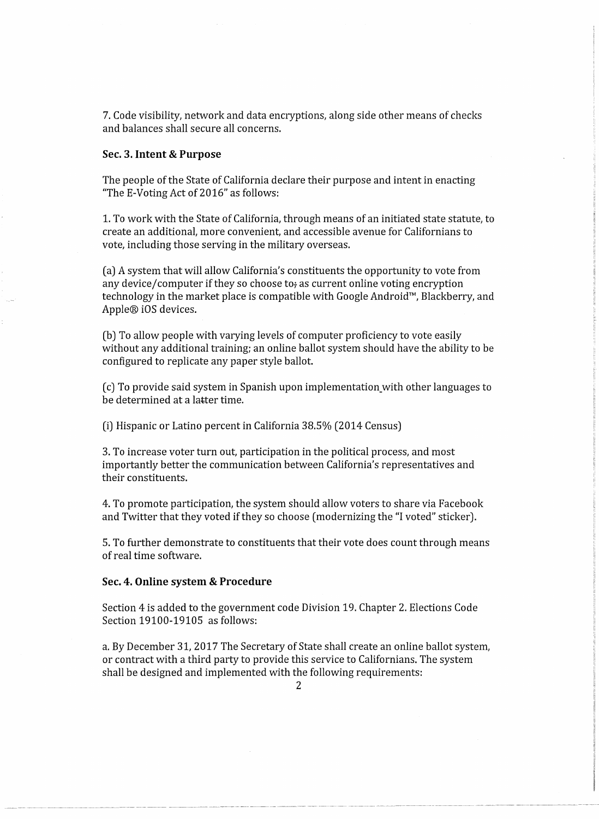7. Code visibility, network and data encryptions, along side other means of checks and balances shall secure all concerns.

#### **Sec. 3. Intent & Purpose**

The people of the State of California declare their purpose and intent in enacting "The E-Voting Act of 2016" as follows:

1. To work with the State of California, through means of an initiated state statute, to create an additional, more convenient, and accessible avenue for Californians to vote, including those serving in the military overseas.

( a) A system that will allow California's constituents the opportunity to vote from any device/computer if they so choose to, as current online voting encryption technology in the market place is compatible with Google Android™, Blackberry, and Apple® iOS devices.

(b) To allow people with varying levels of computer proficiency to vote easily without any additional training; an online ballot system should have the ability to be configured to replicate any paper style ballot.

(c) To provide said system in Spanish upon implementation\_with other languages to be determined at a latter time.

(i) Hispanic or Latino percent in California 38.5% (2014 Census)

3. To increase voter turn out, participation in the political process, and most importantly better the communication between California's representatives and their constituents.

4. To promote participation, the system should allow voters to share via Facebook and Twitter that they voted if they so choose (modernizing the "I voted" sticker).

5. To further demonstrate to constituents that their vote does count through means of real time software.

#### **Sec. 4. Online system & Procedure**

Section 4 is added to the government code Division 19. Chapter 2. Elections Code Section 19100-19105 as follows:

a. By December 31, 2017 The Secretary of State shall create an online ballot system, or contract with a third party to provide this service to Californians. The system shall be designed and implemented with the following requirements:

------ -- ---- ------------"-- - --·- -----~-- ------ - ------------ ----- -···----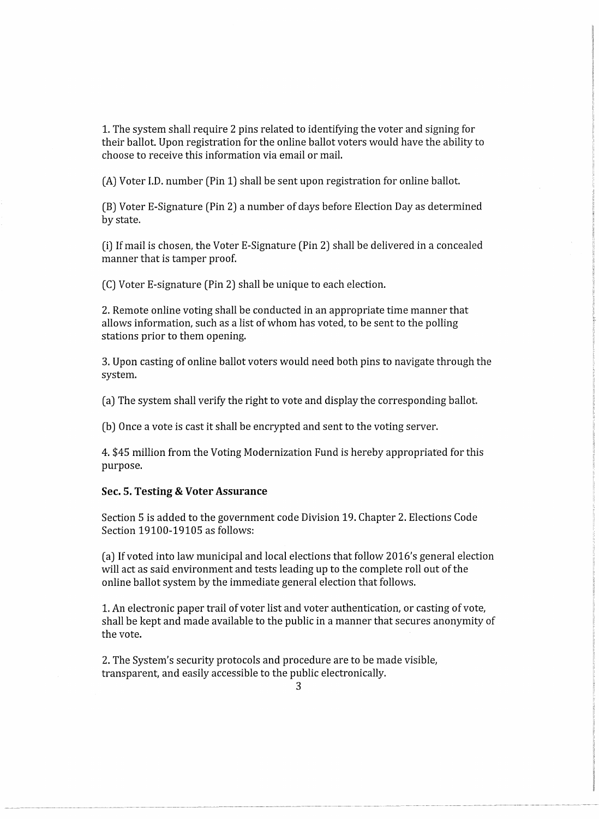1. The system shall require 2 pins related to identifying the voter and signing for their ballot. Upon registration for the online ballot voters would have the ability to choose to receive this information via email or mail.

(A) Voter I.D. number (Pin 1) shall be sent upon registration for online ballot.

(B) Voter E-Signature (Pin 2) a number of days before Election Day as determined by state.

(i) If mail is chosen, the Voter E-Signature (Pin 2) shall be delivered in a concealed manner that is tamper proof.

(C) Voter E-signature (Pin 2) shall be unique to each election.

2. Remote online voting shall be conducted in an appropriate time manner that allows information, such as a list of whom has voted, to be sent to the polling stations prior to them opening.

3. Upon casting of online ballot voters would need both pins to navigate through the system.

(a) The system shall verify the right to vote and display the corresponding ballot.

(b) Once a vote is cast it shall be encrypted and sent to the voting server.

4. \$45 million from the Voting Modernization Fund is hereby appropriated for this purpose.

#### **Sec. 5. Testing & Voter Assurance**

Section 5 is added to the government code Division 19. Chapter 2. Elections Code Section 19100-19105 as follows:

(a) If voted into law municipal and local elections that follow 2016's general election will act as said environment and tests leading up to the complete roll out of the online ballot system by the immediate general election that follows.

1. An electronic paper trail of voter list and voter authentication, or casting of vote, shall be kept and made available to the public in a manner that secures anonymity of the vote.

2. The System's security protocols and procedure are to be made visible, transparent, and easily accessible to the public electronically.

3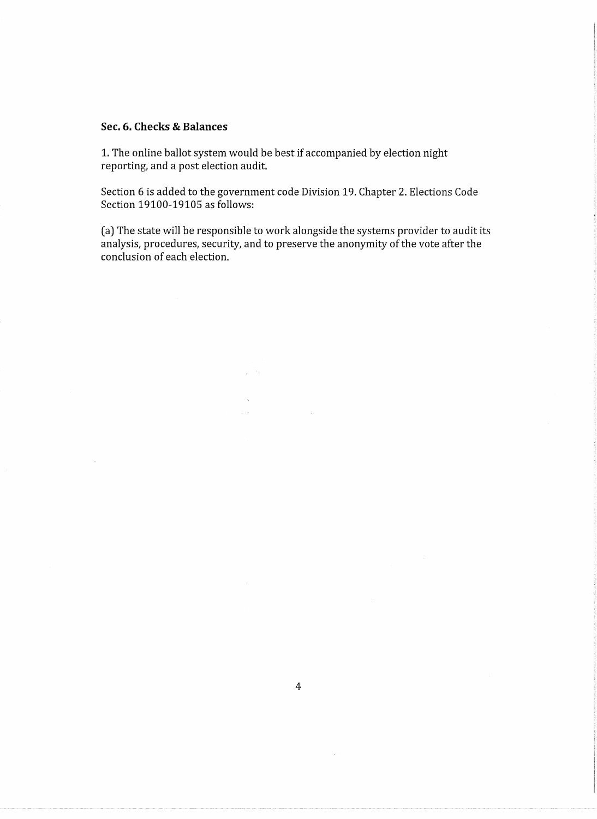### **Sec. 6. Checks & Balances**

1. The online ballot system would be best if accompanied by election night reporting, and a post election audit.

 $\frac{1}{2} \left( \frac{1}{2} \mathbf{v} \right)$ 

Section 6 is added to the government code Division 19. Chapter 2. Elections Code Section 19100-19105 as follows:

(a) The state will be responsible to work alongside the systems provider to audit its analysis, procedures, security, and to preserve the anonymity of the vote after the conclusion of each election.

 $\varphi$